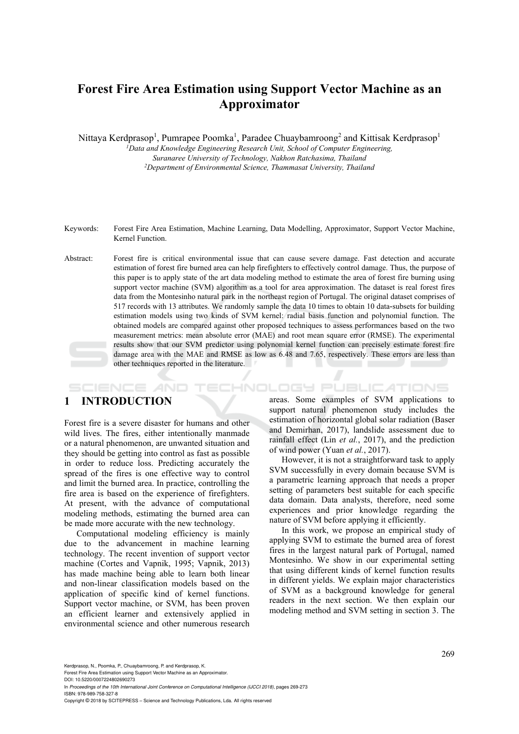# **Forest Fire Area Estimation using Support Vector Machine as an Approximator**

Nittaya Kerdprasop<sup>1</sup>, Pumrapee Poomka<sup>1</sup>, Paradee Chuaybamroong<sup>2</sup> and Kittisak Kerdprasop<sup>1</sup>

*1Data and Knowledge Engineering Research Unit, School of Computer Engineering, Suranaree University of Technology, Nakhon Ratchasima, Thailand 2 Department of Environmental Science, Thammasat University, Thailand* 

Keywords: Forest Fire Area Estimation, Machine Learning, Data Modelling, Approximator, Support Vector Machine, Kernel Function.

Abstract: Forest fire is critical environmental issue that can cause severe damage. Fast detection and accurate estimation of forest fire burned area can help firefighters to effectively control damage. Thus, the purpose of this paper is to apply state of the art data modeling method to estimate the area of forest fire burning using support vector machine (SVM) algorithm as a tool for area approximation. The dataset is real forest fires data from the Montesinho natural park in the northeast region of Portugal. The original dataset comprises of 517 records with 13 attributes. We randomly sample the data 10 times to obtain 10 data-subsets for building estimation models using two kinds of SVM kernel: radial basis function and polynomial function. The obtained models are compared against other proposed techniques to assess performances based on the two measurement metrics: mean absolute error (MAE) and root mean square error (RMSE). The experimental results show that our SVM predictor using polynomial kernel function can precisely estimate forest fire damage area with the MAE and RMSE as low as 6.48 and 7.65, respectively. These errors are less than other techniques reported in the literature.

## **1 INTRODUCTION**

**SCIENCE AND** 

Forest fire is a severe disaster for humans and other wild lives. The fires, either intentionally manmade or a natural phenomenon, are unwanted situation and they should be getting into control as fast as possible in order to reduce loss. Predicting accurately the spread of the fires is one effective way to control and limit the burned area. In practice, controlling the fire area is based on the experience of firefighters. At present, with the advance of computational modeling methods, estimating the burned area can be made more accurate with the new technology.

Computational modeling efficiency is mainly due to the advancement in machine learning technology. The recent invention of support vector machine (Cortes and Vapnik, 1995; Vapnik, 2013) has made machine being able to learn both linear and non-linear classification models based on the application of specific kind of kernel functions. Support vector machine, or SVM, has been proven an efficient learner and extensively applied in environmental science and other numerous research

areas. Some examples of SVM applications to support natural phenomenon study includes the estimation of horizontal global solar radiation (Baser and Demirhan, 2017), landslide assessment due to rainfall effect (Lin *et al.*, 2017), and the prediction of wind power (Yuan *et al.*, 2017).

**TECHNOLOGY PUBLICATIONS** 

However, it is not a straightforward task to apply SVM successfully in every domain because SVM is a parametric learning approach that needs a proper setting of parameters best suitable for each specific data domain. Data analysts, therefore, need some experiences and prior knowledge regarding the nature of SVM before applying it efficiently.

In this work, we propose an empirical study of applying SVM to estimate the burned area of forest fires in the largest natural park of Portugal, named Montesinho. We show in our experimental setting that using different kinds of kernel function results in different yields. We explain major characteristics of SVM as a background knowledge for general readers in the next section. We then explain our modeling method and SVM setting in section 3. The

Kerdprasop, N., Poomka, P., Chuaybamroong, P. and Kerdprasop, K.

Forest Fire Area Estimation using Support Vector Machine as an Approximator.

DOI: 10.5220/0007224802690273 In *Proceedings of the 10th International Joint Conference on Computational Intelligence (IJCCI 2018)*, pages 269-273 ISBN: 978-989-758-327-8

Copyright © 2018 by SCITEPRESS – Science and Technology Publications, Lda. All rights reserved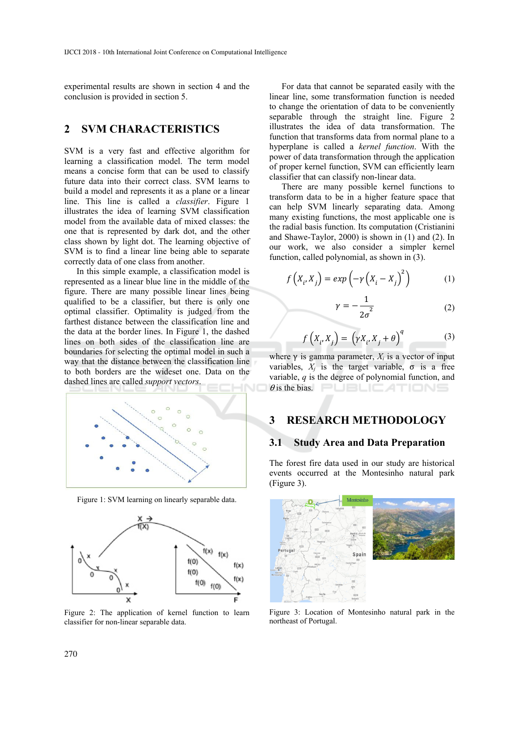experimental results are shown in section 4 and the conclusion is provided in section 5.

## **2 SVM CHARACTERISTICS**

SVM is a very fast and effective algorithm for learning a classification model. The term model means a concise form that can be used to classify future data into their correct class. SVM learns to build a model and represents it as a plane or a linear line. This line is called a *classifier*. Figure 1 illustrates the idea of learning SVM classification model from the available data of mixed classes: the one that is represented by dark dot, and the other class shown by light dot. The learning objective of SVM is to find a linear line being able to separate correctly data of one class from another.

In this simple example, a classification model is represented as a linear blue line in the middle of the figure. There are many possible linear lines being qualified to be a classifier, but there is only one optimal classifier. Optimality is judged from the farthest distance between the classification line and the data at the border lines. In Figure 1, the dashed lines on both sides of the classification line are boundaries for selecting the optimal model in such a way that the distance between the classification line to both borders are the wideset one. Data on the dashed lines are called *support vectors*.



Figure 1: SVM learning on linearly separable data.



Figure 2: The application of kernel function to learn classifier for non-linear separable data.

For data that cannot be separated easily with the linear line, some transformation function is needed to change the orientation of data to be conveniently separable through the straight line. Figure 2 illustrates the idea of data transformation. The function that transforms data from normal plane to a hyperplane is called a *kernel function*. With the power of data transformation through the application of proper kernel function, SVM can efficiently learn classifier that can classify non-linear data.

There are many possible kernel functions to transform data to be in a higher feature space that can help SVM linearly separating data. Among many existing functions, the most applicable one is the radial basis function. Its computation (Cristianini and Shawe-Taylor, 2000) is shown in (1) and (2). In our work, we also consider a simpler kernel function, called polynomial, as shown in (3).

$$
f\left(X_i, X_j\right) = exp\left(-\gamma \left(X_i - X_j\right)^2\right) \tag{1}
$$

$$
\gamma = -\frac{1}{2\sigma^2} \tag{2}
$$

$$
f\left(X_i, X_j\right) = \left(\gamma X_i, X_j + \theta\right)^q \tag{3}
$$

where  $\gamma$  is gamma parameter,  $X_i$  is a vector of input variables,  $X_i$  is the target variable,  $\sigma$  is a free variable, *q* is the degree of polynomial function, and θ is the bias.

## **3 RESEARCH METHODOLOGY**

#### **3.1 Study Area and Data Preparation**

The forest fire data used in our study are historical events occurred at the Montesinho natural park (Figure 3).



Figure 3: Location of Montesinho natural park in the northeast of Portugal.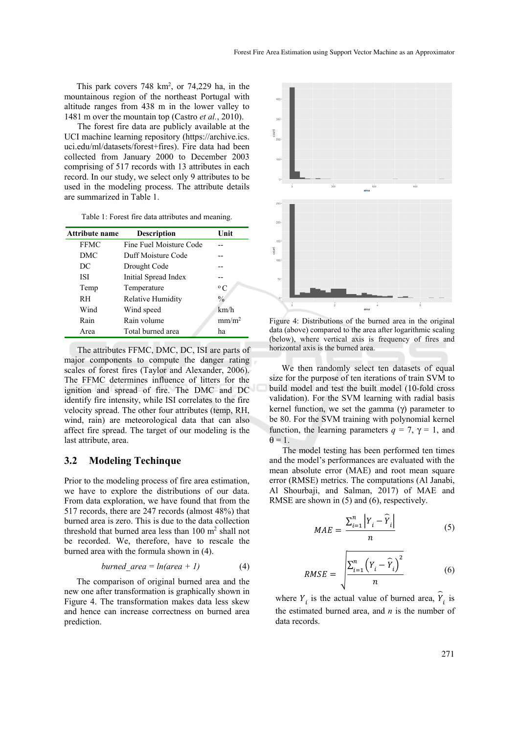This park covers  $748 \text{ km}^2$ , or  $74,229 \text{ ha}$ , in the mountainous region of the northeast Portugal with altitude ranges from 438 m in the lower valley to 1481 m over the mountain top (Castro *et al.*, 2010).

The forest fire data are publicly available at the UCI machine learning repository (https://archive.ics. uci.edu/ml/datasets/forest+fires). Fire data had been collected from January 2000 to December 2003 comprising of 517 records with 13 attributes in each record. In our study, we select only 9 attributes to be used in the modeling process. The attribute details are summarized in Table 1.

Table 1: Forest fire data attributes and meaning.

| <b>Attribute name</b> | <b>Description</b>       | Unit              |
|-----------------------|--------------------------|-------------------|
| <b>FFMC</b>           | Fine Fuel Moisture Code  |                   |
| DMC                   | Duff Moisture Code       |                   |
| DC                    | Drought Code             |                   |
| ISI                   | Initial Spread Index     |                   |
| Temp                  | Temperature              | $^{\circ}$ C      |
| <b>RH</b>             | <b>Relative Humidity</b> | $\frac{0}{0}$     |
| Wind                  | Wind speed               | km/h              |
| Rain                  | Rain volume              | mm/m <sup>2</sup> |
| Area                  | Total burned area        | ha                |

The attributes FFMC, DMC, DC, ISI are parts of major components to compute the danger rating scales of forest fires (Taylor and Alexander, 2006). The FFMC determines influence of litters for the ignition and spread of fire. The DMC and DC identify fire intensity, while ISI correlates to the fire velocity spread. The other four attributes (temp, RH, wind, rain) are meteorological data that can also affect fire spread. The target of our modeling is the last attribute, area.

#### **3.2 Modeling Techinque**

Prior to the modeling process of fire area estimation, we have to explore the distributions of our data. From data exploration, we have found that from the 517 records, there are 247 records (almost 48%) that burned area is zero. This is due to the data collection threshold that burned area less than 100 m<sup>2</sup> shall not be recorded. We, therefore, have to rescale the burned area with the formula shown in (4).

*burned area* = 
$$
ln(\text{area} + 1)
$$
 (4)

The comparison of original burned area and the new one after transformation is graphically shown in Figure 4. The transformation makes data less skew and hence can increase correctness on burned area prediction.



Figure 4: Distributions of the burned area in the original data (above) compared to the area after logarithmic scaling (below), where vertical axis is frequency of fires and horizontal axis is the burned area.

We then randomly select ten datasets of equal size for the purpose of ten iterations of train SVM to build model and test the built model (10-fold cross validation). For the SVM learning with radial basis kernel function, we set the gamma (γ) parameter to be 80. For the SVM training with polynomial kernel function, the learning parameters  $q = 7$ ,  $\gamma = 1$ , and  $\theta = 1$ .

The model testing has been performed ten times and the model's performances are evaluated with the mean absolute error (MAE) and root mean square error (RMSE) metrics. The computations (Al Janabi, Al Shourbaji, and Salman, 2017) of MAE and RMSE are shown in  $(5)$  and  $(6)$ , respectively.

$$
MAE = \frac{\sum_{i=1}^{n} \left| Y_i - \widehat{Y}_i \right|}{n}
$$
 (5)

$$
RMSE = \sqrt{\frac{\sum_{i=1}^{n} (Y_i - \widehat{Y}_i)^2}{n}}
$$
 (6)

where  $Y_i$  is the actual value of burned area,  $\hat{Y}_i$  is the estimated burned area, and *n* is the number of data records.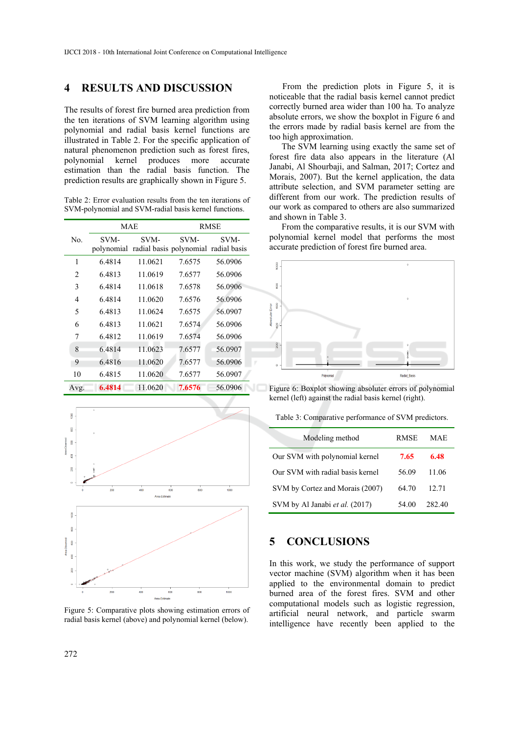## **4 RESULTS AND DISCUSSION**

The results of forest fire burned area prediction from the ten iterations of SVM learning algorithm using polynomial and radial basis kernel functions are illustrated in Table 2. For the specific application of natural phenomenon prediction such as forest fires, polynomial kernel produces more accurate estimation than the radial basis function. The prediction results are graphically shown in Figure 5.

| Table 2: Error evaluation results from the ten iterations of |  |  |  |
|--------------------------------------------------------------|--|--|--|
| SVM-polynomial and SVM-radial basis kernel functions.        |  |  |  |

|                | <b>MAE</b>         |         |                                              | <b>RMSE</b> |  |  |
|----------------|--------------------|---------|----------------------------------------------|-------------|--|--|
| No.            | SVM-<br>polynomial | SVM-    | SVM-<br>radial basis polynomial radial basis | SVM-        |  |  |
|                |                    |         |                                              |             |  |  |
| 1              | 6.4814             | 11.0621 | 7.6575                                       | 56.0906     |  |  |
| $\overline{c}$ | 6.4813             | 11.0619 | 7.6577                                       | 56.0906     |  |  |
| 3              | 6.4814             | 11.0618 | 7.6578                                       | 56.0906     |  |  |
| 4              | 6.4814             | 11.0620 | 7.6576                                       | 56.0906     |  |  |
| 5              | 6.4813             | 11.0624 | 7.6575                                       | 56.0907     |  |  |
| 6              | 6.4813             | 11.0621 | 7.6574                                       | 56.0906     |  |  |
| 7              | 6.4812             | 11.0619 | 7.6574                                       | 56.0906     |  |  |
| 8              | 6.4814             | 11.0623 | 7.6577                                       | 56.0907     |  |  |
| 9              | 6.4816             | 11.0620 | 7.6577                                       | 56.0906     |  |  |
| 10             | 6.4815             | 11.0620 | 7.6577                                       | 56.0907     |  |  |
| Avg.           | 6.4814             | 11.0620 | 7.6576                                       | 56.0906     |  |  |



Figure 5: Comparative plots showing estimation errors of radial basis kernel (above) and polynomial kernel (below).

From the prediction plots in Figure 5, it is noticeable that the radial basis kernel cannot predict correctly burned area wider than 100 ha. To analyze absolute errors, we show the boxplot in Figure 6 and the errors made by radial basis kernel are from the too high approximation.

The SVM learning using exactly the same set of forest fire data also appears in the literature (Al Janabi, Al Shourbaji, and Salman, 2017; Cortez and Morais, 2007). But the kernel application, the data attribute selection, and SVM parameter setting are different from our work. The prediction results of our work as compared to others are also summarized and shown in Table 3.

From the comparative results, it is our SVM with polynomial kernel model that performs the most accurate prediction of forest fire burned area.



Figure 6: Boxplot showing absoluter errors of polynomial kernel (left) against the radial basis kernel (right).

Table 3: Comparative performance of SVM predictors.

| Modeling method                  | <b>RMSE</b> | MAE    |
|----------------------------------|-------------|--------|
| Our SVM with polynomial kernel   | 7.65        | 6.48   |
| Our SVM with radial basis kernel | 56.09       | 11.06  |
| SVM by Cortez and Morais (2007)  | 64.70       | 12.71  |
| SVM by Al Janabi et al. (2017)   | 54.00       | 282.40 |

## **5 CONCLUSIONS**

In this work, we study the performance of support vector machine (SVM) algorithm when it has been applied to the environmental domain to predict burned area of the forest fires. SVM and other computational models such as logistic regression, artificial neural network, and particle swarm intelligence have recently been applied to the